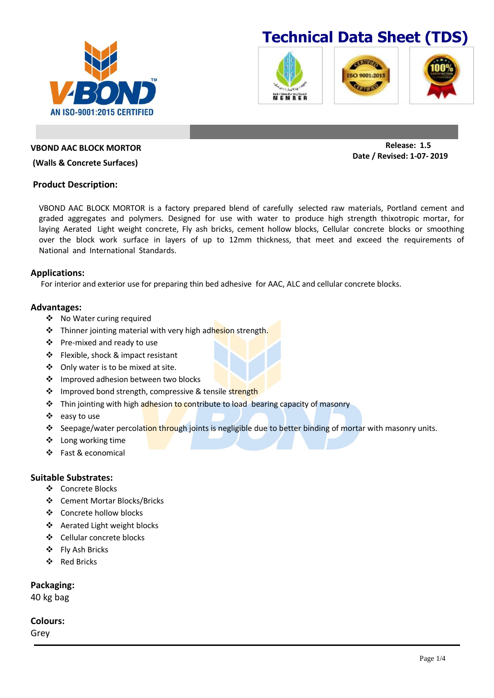







**VBOND AAC BLOCK MORTOR**

**AN ISO-9001:2015 CERTIFIED** 

#### **(Walls & Concrete Surfaces)**

#### **Product Description:**

VBOND AAC BLOCK MORTOR is a factory prepared blend of carefully selected raw materials, Portland cement and graded aggregates and polymers. Designed for use with water to produce high strength thixotropic mortar, for laying Aerated Light weight concrete, Fly ash bricks, cement hollow blocks, Cellular concrete blocks or smoothing over the block work surface in layers of up to 12mm thickness, that meet and exceed the requirements of National and International Standards.

#### **Applications:**

For interior and exterior use for preparing thin bed adhesive for AAC, ALC and cellular concrete blocks.

#### **Advantages:**

- ❖ No Water curing required
- ❖ Thinner jointing material with very high adhesion strength.
- Pre-mixed and ready to use
- Flexible, shock & impact resistant
- Only water is to be mixed at site.
- ❖ Improved adhesion between two blocks
- ❖ Improved bond strength, compressive & tensile strength
- Thin jointing with high adhesion to contribute to load bearing capacity of masonry
- easy to use
- Seepage/water percolation through joints is negligible due to better binding of mortar with masonry units.
- ❖ Long working time
- Fast & economical

### **Suitable Substrates:**

- Concrete Blocks
- Cement Mortar Blocks/Bricks
- Concrete hollow blocks
- ❖ Aerated Light weight blocks
- Cellular concrete blocks
- Fly Ash Bricks
- Red Bricks

## **Packaging:**

40 kg bag

## **Colours:**

Grey

**Release: 1.5 Date / Revised: 1-07- 2019**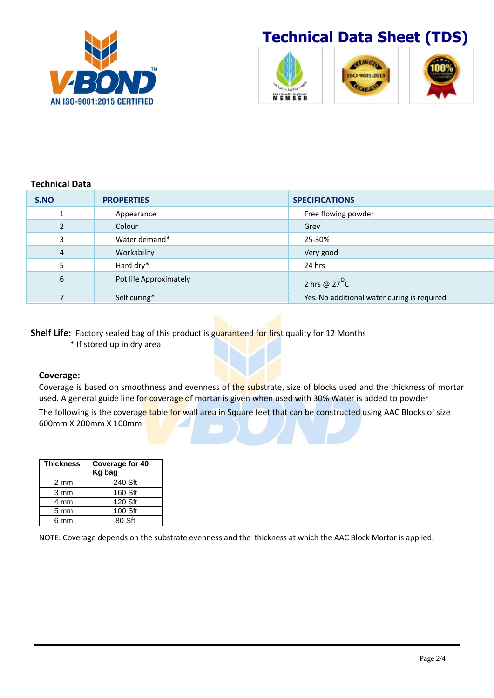

# **Technical Data Sheet (TDS)**



# **Technical Data**

| S.NO           | <b>PROPERTIES</b>      | <b>SPECIFICATIONS</b>                       |
|----------------|------------------------|---------------------------------------------|
|                | Appearance             | Free flowing powder                         |
|                | Colour                 | Grey                                        |
| 3              | Water demand*          | 25-30%                                      |
| $\overline{4}$ | Workability            | Very good                                   |
| 5              | Hard dry*              | 24 hrs                                      |
| 6              | Pot life Approximately | 2 hrs @ $27^{\circ}$ C                      |
|                | Self curing*           | Yes. No additional water curing is required |

**Shelf Life:** Factory sealed bag of this product is guaranteed for first quality for 12 Months

\* If stored up in dry area.

### **Coverage:**

Coverage is based on smoothness and evenness of the substrate, size of blocks used and the thickness of mortar used. A general guide line for coverage of mortar is given when used with 30% Water is added to powder

The following is the coverage table for wall area in Square feet that can be constructed using AAC Blocks of size 600mm X 200mm X 100mm

| <b>Thickness</b> | <b>Coverage for 40</b><br>Kg bag |
|------------------|----------------------------------|
| 2 mm             | 240 Sft                          |
| 3 mm             | 160 Sft                          |
| 4 mm             | 120 Sft                          |
| 5 mm             | 100 Sft                          |
| 6 mm             | 80 Sft                           |

NOTE: Coverage depends on the substrate evenness and the thickness at which the AAC Block Mortor is applied.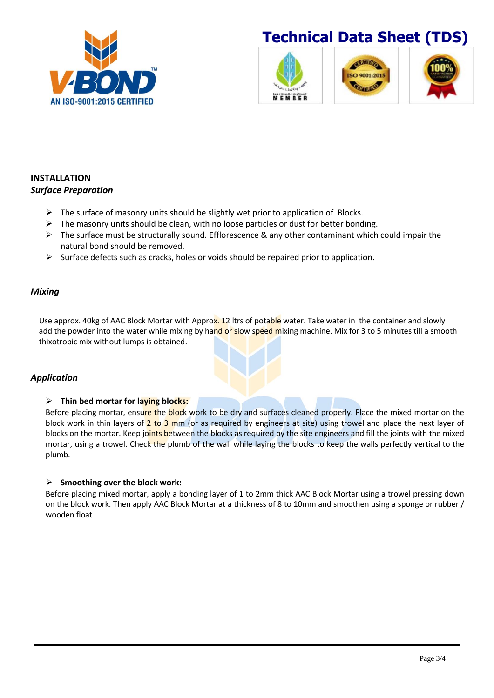

# **Technical Data Sheet (TDS)**



# **INSTALLATION** *Surface Preparation*

- $\triangleright$  The surface of masonry units should be slightly wet prior to application of Blocks.
- $\triangleright$  The masonry units should be clean, with no loose particles or dust for better bonding.
- $\triangleright$  The surface must be structurally sound. Efflorescence & any other contaminant which could impair the natural bond should be removed.
- $\triangleright$  Surface defects such as cracks, holes or voids should be repaired prior to application.

# *Mixing*

Use approx. 40kg of AAC Block Mortar with Approx. 12 ltrs of potable water. Take water in the container and slowly add the powder into the water while mixing by hand or slow speed mixing machine. Mix for 3 to 5 minutes till a smooth thixotropic mix without lumps is obtained.

# *Application*

# **Thin bed mortar for laying blocks:**

Before placing mortar, ensure the block work to be dry and surfaces cleaned properly. Place the mixed mortar on the block work in thin layers of  $2$  to  $3$  mm (or as required by engineers at site) using trowel and place the next layer of blocks on the mortar. Keep joints between the blocks as required by the site engineers and fill the joints with the mixed mortar, using a trowel. Check the plumb of the wall while laying the blocks to keep the walls perfectly vertical to the plumb.

# **Smoothing over the block work:**

Before placing mixed mortar, apply a bonding layer of 1 to 2mm thick AAC Block Mortar using a trowel pressing down on the block work. Then apply AAC Block Mortar at a thickness of 8 to 10mm and smoothen using a sponge or rubber / wooden float